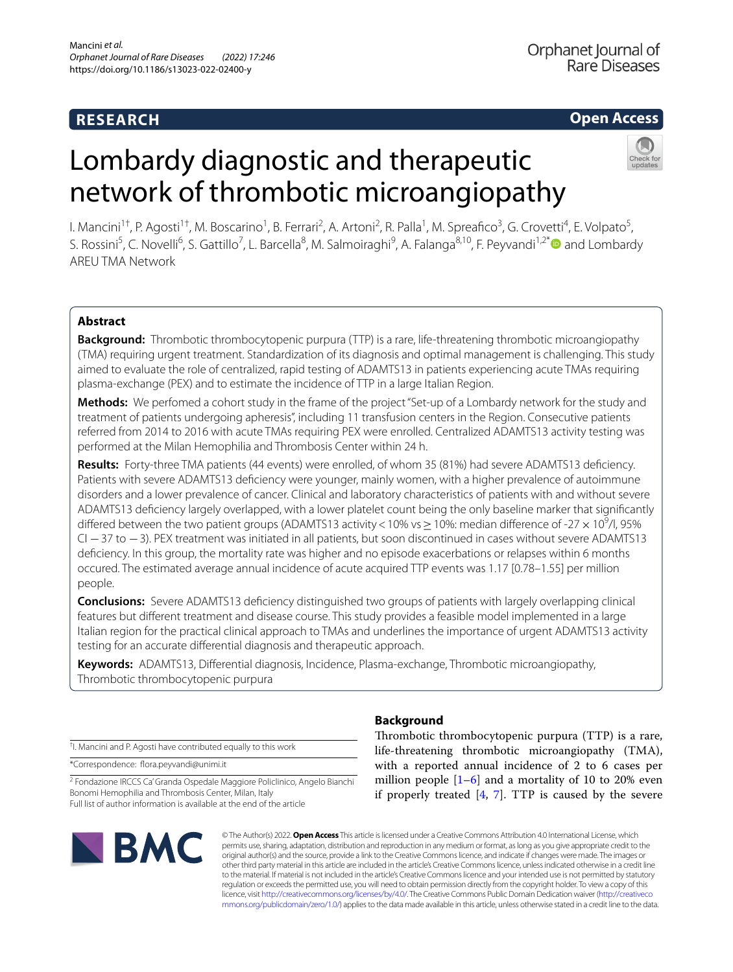# **RESEARCH**

Orphanet Journal of Rare Diseases

# **Open Access**

# Lombardy diagnostic and therapeutic network of thrombotic microangiopathy

l. Mancini<sup>1†</sup>, P. Agosti<sup>1†</sup>, M. Boscarino<sup>1</sup>, B. Ferrari<sup>2</sup>, A. Artoni<sup>2</sup>, R. Palla<sup>1</sup>, M. Spreafico<sup>3</sup>, G. Crovetti<sup>4</sup>, E. Volpato<sup>5</sup>, S. Rossini<sup>5</sup>, C. Novelli<sup>6</sup>, S. Gattillo<sup>7</sup>, L. Barcella<sup>8</sup>, M. Salmoiraghi<sup>9</sup>, A. Falanga<sup>8,10</sup>, F. Peyvandi<sup>1,2\*</sup> and Lombardy AREU TMA Network

## **Abstract**

**Background:** Thrombotic thrombocytopenic purpura (TTP) is a rare, life-threatening thrombotic microangiopathy (TMA) requiring urgent treatment. Standardization of its diagnosis and optimal management is challenging. This study aimed to evaluate the role of centralized, rapid testing of ADAMTS13 in patients experiencing acute TMAs requiring plasma-exchange (PEX) and to estimate the incidence of TTP in a large Italian Region.

**Methods:** We perfomed a cohort study in the frame of the project "Set-up of a Lombardy network for the study and treatment of patients undergoing apheresis", including 11 transfusion centers in the Region. Consecutive patients referred from 2014 to 2016 with acute TMAs requiring PEX were enrolled. Centralized ADAMTS13 activity testing was performed at the Milan Hemophilia and Thrombosis Center within 24 h.

**Results:** Forty-three TMA patients (44 events) were enrolled, of whom 35 (81%) had severe ADAMTS13 defciency. Patients with severe ADAMTS13 defciency were younger, mainly women, with a higher prevalence of autoimmune disorders and a lower prevalence of cancer. Clinical and laboratory characteristics of patients with and without severe ADAMTS13 defciency largely overlapped, with a lower platelet count being the only baseline marker that signifcantly differed between the two patient groups (ADAMTS13 activity < 10% vs  $\geq$  10%: median difference of -27  $\times$  10<sup>9</sup>/l, 95% CI −37 to −3). PEX treatment was initiated in all patients, but soon discontinued in cases without severe ADAMTS13 defciency. In this group, the mortality rate was higher and no episode exacerbations or relapses within 6 months occured. The estimated average annual incidence of acute acquired TTP events was 1.17 [0.78–1.55] per million people.

**Conclusions:** Severe ADAMTS13 defciency distinguished two groups of patients with largely overlapping clinical features but diferent treatment and disease course. This study provides a feasible model implemented in a large Italian region for the practical clinical approach to TMAs and underlines the importance of urgent ADAMTS13 activity testing for an accurate diferential diagnosis and therapeutic approach.

**Keywords:** ADAMTS13, Diferential diagnosis, Incidence, Plasma-exchange, Thrombotic microangiopathy, Thrombotic thrombocytopenic purpura

† I. Mancini and P. Agosti have contributed equally to this work

\*Correspondence: fora.peyvandi@unimi.it

<sup>2</sup> Fondazione IRCCS Ca' Granda Ospedale Maggiore Policlinico, Angelo Bianchi Bonomi Hemophilia and Thrombosis Center, Milan, Italy Full list of author information is available at the end of the article



### **Background**

Thrombotic thrombocytopenic purpura (TTP) is a rare, life-threatening thrombotic microangiopathy (TMA), with a reported annual incidence of 2 to 6 cases per million people  $[1-6]$  $[1-6]$  $[1-6]$  and a mortality of 10 to 20% even if properly treated  $[4, 7]$  $[4, 7]$  $[4, 7]$  $[4, 7]$  $[4, 7]$ . TTP is caused by the severe

© The Author(s) 2022. **Open Access** This article is licensed under a Creative Commons Attribution 4.0 International License, which permits use, sharing, adaptation, distribution and reproduction in any medium or format, as long as you give appropriate credit to the original author(s) and the source, provide a link to the Creative Commons licence, and indicate if changes were made. The images or other third party material in this article are included in the article's Creative Commons licence, unless indicated otherwise in a credit line to the material. If material is not included in the article's Creative Commons licence and your intended use is not permitted by statutory regulation or exceeds the permitted use, you will need to obtain permission directly from the copyright holder. To view a copy of this licence, visit [http://creativecommons.org/licenses/by/4.0/.](http://creativecommons.org/licenses/by/4.0/) The Creative Commons Public Domain Dedication waiver ([http://creativeco](http://creativecommons.org/publicdomain/zero/1.0/) [mmons.org/publicdomain/zero/1.0/](http://creativecommons.org/publicdomain/zero/1.0/)) applies to the data made available in this article, unless otherwise stated in a credit line to the data.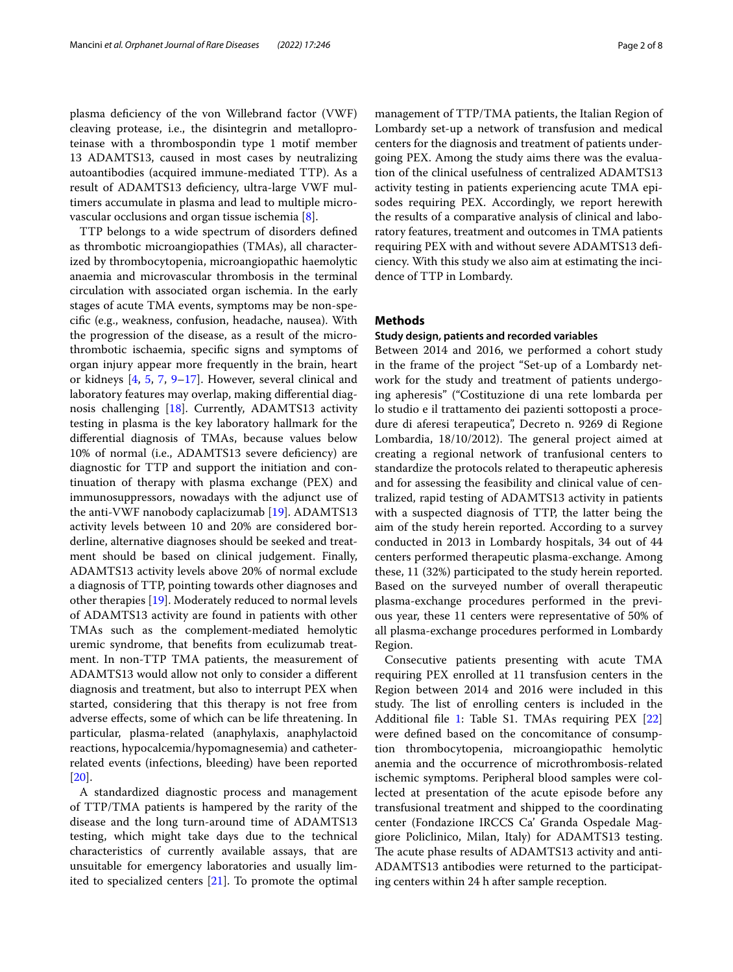plasma defciency of the von Willebrand factor (VWF) cleaving protease, i.e., the disintegrin and metalloproteinase with a thrombospondin type 1 motif member 13 ADAMTS13, caused in most cases by neutralizing autoantibodies (acquired immune-mediated TTP). As a result of ADAMTS13 defciency, ultra-large VWF multimers accumulate in plasma and lead to multiple microvascular occlusions and organ tissue ischemia [\[8](#page-7-4)].

TTP belongs to a wide spectrum of disorders defned as thrombotic microangiopathies (TMAs), all characterized by thrombocytopenia, microangiopathic haemolytic anaemia and microvascular thrombosis in the terminal circulation with associated organ ischemia. In the early stages of acute TMA events, symptoms may be non-specifc (e.g., weakness, confusion, headache, nausea). With the progression of the disease, as a result of the microthrombotic ischaemia, specifc signs and symptoms of organ injury appear more frequently in the brain, heart or kidneys [\[4](#page-7-2), [5,](#page-7-5) [7](#page-7-3), [9](#page-7-6)[–17\]](#page-7-7). However, several clinical and laboratory features may overlap, making diferential diagnosis challenging [[18](#page-7-8)]. Currently, ADAMTS13 activity testing in plasma is the key laboratory hallmark for the diferential diagnosis of TMAs, because values below 10% of normal (i.e., ADAMTS13 severe deficiency) are diagnostic for TTP and support the initiation and continuation of therapy with plasma exchange (PEX) and immunosuppressors, nowadays with the adjunct use of the anti-VWF nanobody caplacizumab [\[19\]](#page-7-9). ADAMTS13 activity levels between 10 and 20% are considered borderline, alternative diagnoses should be seeked and treatment should be based on clinical judgement. Finally, ADAMTS13 activity levels above 20% of normal exclude a diagnosis of TTP, pointing towards other diagnoses and other therapies [[19](#page-7-9)]. Moderately reduced to normal levels of ADAMTS13 activity are found in patients with other TMAs such as the complement-mediated hemolytic uremic syndrome, that benefts from eculizumab treatment. In non-TTP TMA patients, the measurement of ADAMTS13 would allow not only to consider a diferent diagnosis and treatment, but also to interrupt PEX when started, considering that this therapy is not free from adverse efects, some of which can be life threatening. In particular, plasma-related (anaphylaxis, anaphylactoid reactions, hypocalcemia/hypomagnesemia) and catheterrelated events (infections, bleeding) have been reported [[20\]](#page-7-10).

A standardized diagnostic process and management of TTP/TMA patients is hampered by the rarity of the disease and the long turn-around time of ADAMTS13 testing, which might take days due to the technical characteristics of currently available assays, that are unsuitable for emergency laboratories and usually limited to specialized centers [[21](#page-7-11)]. To promote the optimal management of TTP/TMA patients, the Italian Region of Lombardy set-up a network of transfusion and medical centers for the diagnosis and treatment of patients undergoing PEX. Among the study aims there was the evaluation of the clinical usefulness of centralized ADAMTS13 activity testing in patients experiencing acute TMA episodes requiring PEX. Accordingly, we report herewith the results of a comparative analysis of clinical and laboratory features, treatment and outcomes in TMA patients requiring PEX with and without severe ADAMTS13 defciency. With this study we also aim at estimating the incidence of TTP in Lombardy.

#### **Methods**

#### **Study design, patients and recorded variables**

Between 2014 and 2016, we performed a cohort study in the frame of the project "Set-up of a Lombardy network for the study and treatment of patients undergoing apheresis" ("Costituzione di una rete lombarda per lo studio e il trattamento dei pazienti sottoposti a procedure di aferesi terapeutica", Decreto n. 9269 di Regione Lombardia, 18/10/2012). The general project aimed at creating a regional network of tranfusional centers to standardize the protocols related to therapeutic apheresis and for assessing the feasibility and clinical value of centralized, rapid testing of ADAMTS13 activity in patients with a suspected diagnosis of TTP, the latter being the aim of the study herein reported. According to a survey conducted in 2013 in Lombardy hospitals, 34 out of 44 centers performed therapeutic plasma-exchange. Among these, 11 (32%) participated to the study herein reported. Based on the surveyed number of overall therapeutic plasma-exchange procedures performed in the previous year, these 11 centers were representative of 50% of all plasma-exchange procedures performed in Lombardy Region.

Consecutive patients presenting with acute TMA requiring PEX enrolled at 11 transfusion centers in the Region between 2014 and 2016 were included in this study. The list of enrolling centers is included in the Additional file [1:](#page-6-0) Table S1. TMAs requiring PEX [[22](#page-7-12)] were defned based on the concomitance of consumption thrombocytopenia, microangiopathic hemolytic anemia and the occurrence of microthrombosis-related ischemic symptoms. Peripheral blood samples were collected at presentation of the acute episode before any transfusional treatment and shipped to the coordinating center (Fondazione IRCCS Ca' Granda Ospedale Maggiore Policlinico, Milan, Italy) for ADAMTS13 testing. The acute phase results of ADAMTS13 activity and anti-ADAMTS13 antibodies were returned to the participating centers within 24 h after sample reception.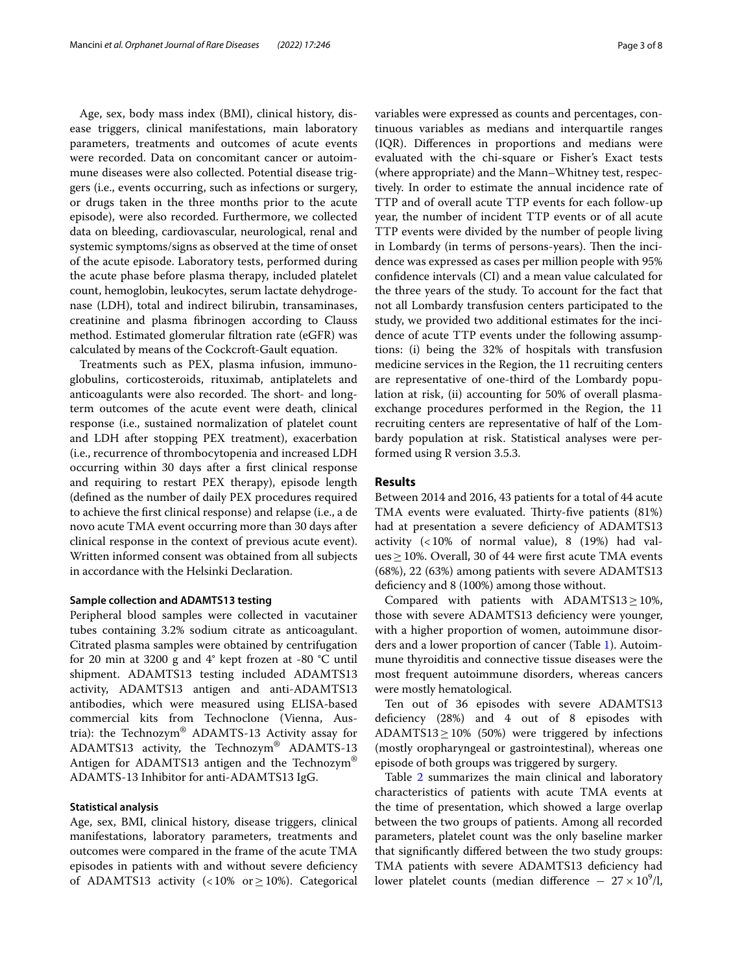Age, sex, body mass index (BMI), clinical history, disease triggers, clinical manifestations, main laboratory parameters, treatments and outcomes of acute events were recorded. Data on concomitant cancer or autoimmune diseases were also collected. Potential disease triggers (i.e., events occurring, such as infections or surgery, or drugs taken in the three months prior to the acute episode), were also recorded. Furthermore, we collected data on bleeding, cardiovascular, neurological, renal and systemic symptoms/signs as observed at the time of onset of the acute episode. Laboratory tests, performed during the acute phase before plasma therapy, included platelet count, hemoglobin, leukocytes, serum lactate dehydrogenase (LDH), total and indirect bilirubin, transaminases, creatinine and plasma fbrinogen according to Clauss method. Estimated glomerular fltration rate (eGFR) was calculated by means of the Cockcroft-Gault equation.

Treatments such as PEX, plasma infusion, immunoglobulins, corticosteroids, rituximab, antiplatelets and anticoagulants were also recorded. The short- and longterm outcomes of the acute event were death, clinical response (i.e., sustained normalization of platelet count and LDH after stopping PEX treatment), exacerbation (i.e., recurrence of thrombocytopenia and increased LDH occurring within 30 days after a frst clinical response and requiring to restart PEX therapy), episode length (defned as the number of daily PEX procedures required to achieve the frst clinical response) and relapse (i.e., a de novo acute TMA event occurring more than 30 days after clinical response in the context of previous acute event). Written informed consent was obtained from all subjects in accordance with the Helsinki Declaration.

#### **Sample collection and ADAMTS13 testing**

Peripheral blood samples were collected in vacutainer tubes containing 3.2% sodium citrate as anticoagulant. Citrated plasma samples were obtained by centrifugation for 20 min at 3200 g and  $4^{\circ}$  kept frozen at -80  $^{\circ}$ C until shipment. ADAMTS13 testing included ADAMTS13 activity, ADAMTS13 antigen and anti-ADAMTS13 antibodies, which were measured using ELISA-based commercial kits from Technoclone (Vienna, Austria): the Technozym® ADAMTS-13 Activity assay for ADAMTS13 activity, the Technozym® ADAMTS-13 Antigen for ADAMTS13 antigen and the Technozym® ADAMTS-13 Inhibitor for anti-ADAMTS13 IgG.

#### **Statistical analysis**

Age, sex, BMI, clinical history, disease triggers, clinical manifestations, laboratory parameters, treatments and outcomes were compared in the frame of the acute TMA episodes in patients with and without severe defciency of ADAMTS13 activity (<10% or  $\geq$ 10%). Categorical variables were expressed as counts and percentages, continuous variables as medians and interquartile ranges (IQR). Diferences in proportions and medians were evaluated with the chi-square or Fisher's Exact tests (where appropriate) and the Mann–Whitney test, respectively. In order to estimate the annual incidence rate of TTP and of overall acute TTP events for each follow-up year, the number of incident TTP events or of all acute TTP events were divided by the number of people living in Lombardy (in terms of persons-years). Then the incidence was expressed as cases per million people with 95% confdence intervals (CI) and a mean value calculated for the three years of the study. To account for the fact that not all Lombardy transfusion centers participated to the study, we provided two additional estimates for the incidence of acute TTP events under the following assumptions: (i) being the 32% of hospitals with transfusion medicine services in the Region, the 11 recruiting centers are representative of one-third of the Lombardy population at risk, (ii) accounting for 50% of overall plasmaexchange procedures performed in the Region, the 11 recruiting centers are representative of half of the Lombardy population at risk. Statistical analyses were performed using R version 3.5.3.

#### **Results**

Between 2014 and 2016, 43 patients for a total of 44 acute TMA events were evaluated. Thirty-five patients (81%) had at presentation a severe deficiency of ADAMTS13 activity (<10% of normal value), 8 (19%) had values  $\geq$  10%. Overall, 30 of 44 were first acute TMA events (68%), 22 (63%) among patients with severe ADAMTS13 deficiency and 8 (100%) among those without.

Compared with patients with ADAMTS13≥10%, those with severe ADAMTS13 defciency were younger, with a higher proportion of women, autoimmune disorders and a lower proportion of cancer (Table [1\)](#page-3-0). Autoimmune thyroiditis and connective tissue diseases were the most frequent autoimmune disorders, whereas cancers were mostly hematological.

Ten out of 36 episodes with severe ADAMTS13 defciency (28%) and 4 out of 8 episodes with ADAMTS13 $\geq$ 10% (50%) were triggered by infections (mostly oropharyngeal or gastrointestinal), whereas one episode of both groups was triggered by surgery.

Table [2](#page-3-1) summarizes the main clinical and laboratory characteristics of patients with acute TMA events at the time of presentation, which showed a large overlap between the two groups of patients. Among all recorded parameters, platelet count was the only baseline marker that signifcantly difered between the two study groups: TMA patients with severe ADAMTS13 defciency had lower platelet counts (median difference  $- 27 \times 10^9$ /l,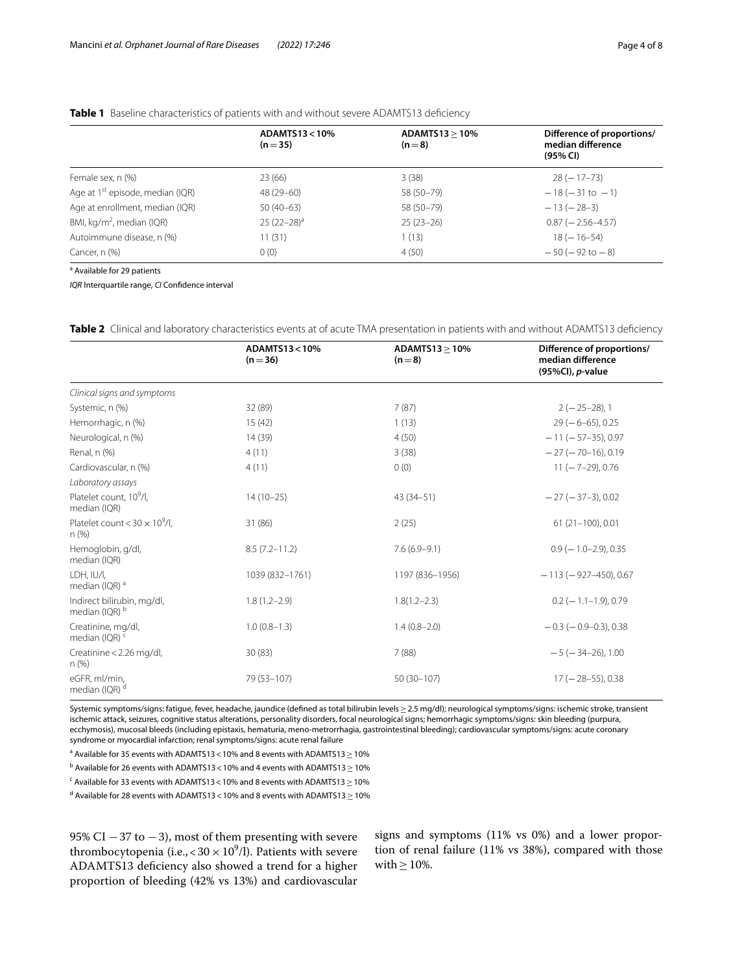### <span id="page-3-0"></span>**Table 1** Baseline characteristics of patients with and without severe ADAMTS13 deficiency

|                                              | ADAMTS13<10%<br>$(n=35)$ | ADAMTS13 > 10%<br>$(n=8)$ | Difference of proportions/<br>median difference<br>(95% CI) |
|----------------------------------------------|--------------------------|---------------------------|-------------------------------------------------------------|
| Female sex, n (%)                            | 23(66)                   | 3(38)                     | $28(-17-73)$                                                |
| Age at 1 <sup>st</sup> episode, median (IQR) | 48 (29-60)               | 58 (50-79)                | $-18(-31$ to $-1)$                                          |
| Age at enrollment, median (IQR)              | $50(40-63)$              | 58 (50-79)                | $-13(-28-3)$                                                |
| BMI, $\text{kg/m}^2$ , median (IQR)          | $25(22-28)^a$            | $25(23-26)$               | $0.87$ ( $-2.56 - 4.57$ )                                   |
| Autoimmune disease, n (%)                    | 11(31)                   | 1(13)                     | $18 (-16 - 54)$                                             |
| Cancer, n (%)                                | 0(0)                     | 4(50)                     | $-50$ ( $-92$ to $-8$ )                                     |

<sup>a</sup> Available for 29 patients

*IQR* Interquartile range, *CI* Confdence interval

<span id="page-3-1"></span>**Table 2** Clinical and laboratory characteristics events at of acute TMA presentation in patients with and without ADAMTS13 deficiency

|                                                     | ADAMTS13<10%<br>$(n=36)$ | $ADAMTS13 \geq 10\%$<br>$(n=8)$ | Difference of proportions/<br>median difference<br>(95%Cl), p-value |
|-----------------------------------------------------|--------------------------|---------------------------------|---------------------------------------------------------------------|
| Clinical signs and symptoms                         |                          |                                 |                                                                     |
| Systemic, n (%)                                     | 32 (89)                  | 7(87)                           | $2(-25-28)$ , 1                                                     |
| Hemorrhagic, n (%)                                  | 15(42)                   | 1(13)                           | $29(-6-65)$ , 0.25                                                  |
| Neurological, n (%)                                 | 14 (39)                  | 4(50)                           | $-11$ ( $-57-35$ ), 0.97                                            |
| Renal, n (%)                                        | 4(11)                    | 3(38)                           | $-27 (-70-16)$ , 0.19                                               |
| Cardiovascular, n (%)                               | 4(11)                    | 0(0)                            | $11 (-7-29)$ , 0.76                                                 |
| Laboratory assays                                   |                          |                                 |                                                                     |
| Platelet count, 10 <sup>9</sup> /l,<br>median (IQR) | $14(10-25)$              | $43(34 - 51)$                   | $-27$ ( $-37-3$ ), 0.02                                             |
| Platelet count < $30 \times 10^9$ /l,<br>n(%)       | 31 (86)                  | 2(25)                           | $61(21-100)$ , 0.01                                                 |
| Hemoglobin, g/dl,<br>median (IQR)                   | $8.5(7.2 - 11.2)$        | $7.6(6.9-9.1)$                  | $0.9$ ( $-1.0-2.9$ ), 0.35                                          |
| LDH. IU/I.<br>median (IQR) <sup>a</sup>             | 1039 (832-1761)          | 1197 (836-1956)                 | $-113(-927-450)$ , 0.67                                             |
| Indirect bilirubin, mg/dl,<br>median (IOR) b        | $1.8(1.2 - 2.9)$         | $1.8(1.2 - 2.3)$                | $0.2$ (-1.1-1.9), 0.79                                              |
| Creatinine, mg/dl,<br>median (IQR) <sup>c</sup>     | $1.0(0.8-1.3)$           | $1.4(0.8-2.0)$                  | $-0.3$ ( $-0.9-0.3$ ), 0.38                                         |
| Creatinine < 2.26 mg/dl,<br>$n$ (%)                 | 30(83)                   | 7(88)                           | $-5$ ( $-34-26$ ), 1.00                                             |
| eGFR, ml/min,<br>median (IQR) <sup>d</sup>          | 79 (53-107)              | $50(30-107)$                    | $17 (-28 - 55)$ , 0.38                                              |

Systemic symptoms/signs: fatigue, fever, headache, jaundice (defined as total bilirubin levels ≥ 2.5 mg/dl); neurological symptoms/signs: ischemic stroke, transient ischemic attack, seizures, cognitive status alterations, personality disorders, focal neurological signs; hemorrhagic symptoms/signs: skin bleeding (purpura, ecchymosis), mucosal bleeds (including epistaxis, hematuria, meno-metrorrhagia, gastrointestinal bleeding); cardiovascular symptoms/signs: acute coronary syndrome or myocardial infarction; renal symptoms/signs: acute renal failure

<sup>a</sup> Available for 35 events with ADAMTS13 < 10% and 8 events with ADAMTS13  $\geq$  10%

 $^{\rm b}$  Available for 26 events with ADAMTS13 < 10% and 4 events with ADAMTS13  $\geq$  10%

 $\texttt{c}$  Available for 33 events with ADAMTS13 < 10% and 8 events with ADAMTS13  $\geq$  10%

<sup>d</sup> Available for 28 events with ADAMTS13 < 10% and 8 events with ADAMTS13  $\geq$  10%

95% CI  $-37$  to  $-3$ ), most of them presenting with severe thrombocytopenia (i.e.,  $<$  30  $\times$  10<sup>9</sup>/l). Patients with severe ADAMTS13 defciency also showed a trend for a higher proportion of bleeding (42% vs 13%) and cardiovascular

signs and symptoms (11% vs 0%) and a lower proportion of renal failure (11% vs 38%), compared with those with  $\geq$  10%.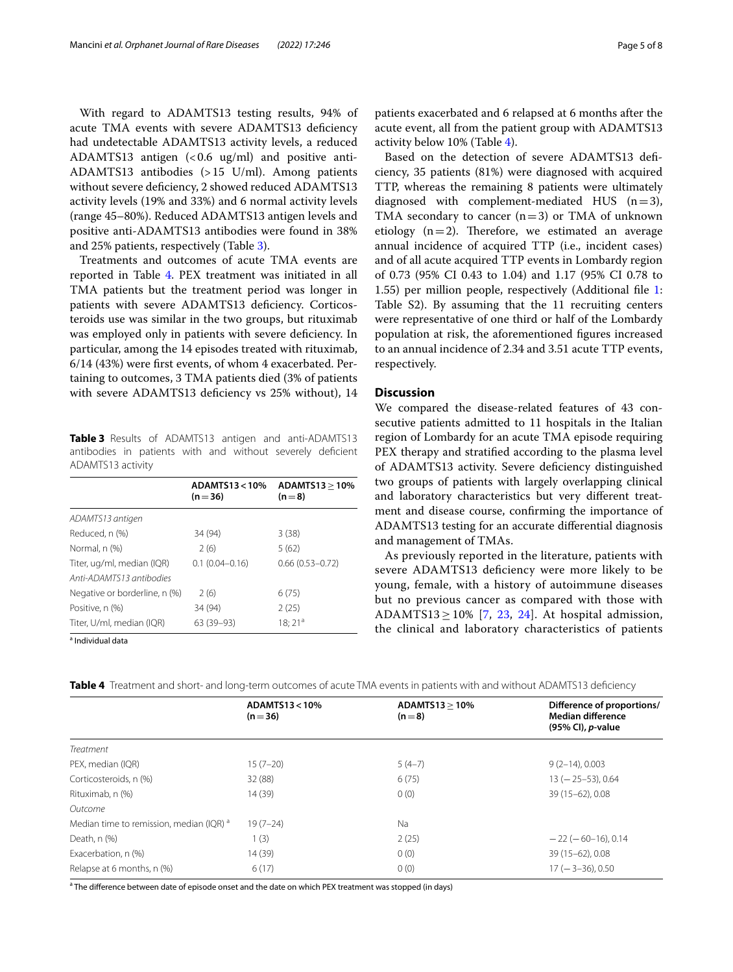With regard to ADAMTS13 testing results, 94% of acute TMA events with severe ADAMTS13 defciency had undetectable ADAMTS13 activity levels, a reduced ADAMTS13 antigen  $\langle$  < 0.6 ug/ml) and positive anti-ADAMTS13 antibodies (>15 U/ml). Among patients without severe deficiency, 2 showed reduced ADAMTS13 activity levels (19% and 33%) and 6 normal activity levels (range 45–80%). Reduced ADAMTS13 antigen levels and positive anti-ADAMTS13 antibodies were found in 38% and 25% patients, respectively (Table [3\)](#page-4-0).

Treatments and outcomes of acute TMA events are reported in Table [4](#page-4-1). PEX treatment was initiated in all TMA patients but the treatment period was longer in patients with severe ADAMTS13 defciency. Corticosteroids use was similar in the two groups, but rituximab was employed only in patients with severe defciency. In particular, among the 14 episodes treated with rituximab, 6/14 (43%) were frst events, of whom 4 exacerbated. Pertaining to outcomes, 3 TMA patients died (3% of patients with severe ADAMTS13 deficiency vs 25% without), 14

<span id="page-4-0"></span>**Table 3** Results of ADAMTS13 antigen and anti-ADAMTS13 antibodies in patients with and without severely defcient ADAMTS13 activity

|                                                        | ADAMTS13<10%<br>$(n=36)$ | ADAMTS13 > 10%<br>$(n=8)$ |
|--------------------------------------------------------|--------------------------|---------------------------|
| ADAMTS13 antigen                                       |                          |                           |
| Reduced, n (%)                                         | 34 (94)                  | 3(38)                     |
| Normal, n (%)                                          | 2(6)                     | 5(62)                     |
| Titer, ug/ml, median (IQR)<br>Anti-ADAMTS13 antibodies | $0.1(0.04 - 0.16)$       | $0.66(0.53 - 0.72)$       |
| Negative or borderline, n (%)                          | 2(6)                     | 6(75)                     |
| Positive, n (%)                                        | 34 (94)                  | 2(25)                     |
| Titer, U/ml, median (IQR)                              | $63(39-93)$              | $18:21^{a}$               |

<sup>a</sup> Individual data

patients exacerbated and 6 relapsed at 6 months after the acute event, all from the patient group with ADAMTS13 activity below 10% (Table [4](#page-4-1)).

Based on the detection of severe ADAMTS13 defciency, 35 patients (81%) were diagnosed with acquired TTP, whereas the remaining 8 patients were ultimately diagnosed with complement-mediated HUS  $(n=3)$ , TMA secondary to cancer  $(n=3)$  or TMA of unknown etiology  $(n=2)$ . Therefore, we estimated an average annual incidence of acquired TTP (i.e., incident cases) and of all acute acquired TTP events in Lombardy region of 0.73 (95% CI 0.43 to 1.04) and 1.17 (95% CI 0.78 to 1.55) per million people, respectively (Additional fle [1](#page-6-0): Table S2). By assuming that the 11 recruiting centers were representative of one third or half of the Lombardy population at risk, the aforementioned fgures increased to an annual incidence of 2.34 and 3.51 acute TTP events, respectively.

#### **Discussion**

We compared the disease-related features of 43 consecutive patients admitted to 11 hospitals in the Italian region of Lombardy for an acute TMA episode requiring PEX therapy and stratifed according to the plasma level of ADAMTS13 activity. Severe defciency distinguished two groups of patients with largely overlapping clinical and laboratory characteristics but very diferent treatment and disease course, confrming the importance of ADAMTS13 testing for an accurate diferential diagnosis and management of TMAs.

As previously reported in the literature, patients with severe ADAMTS13 defciency were more likely to be young, female, with a history of autoimmune diseases but no previous cancer as compared with those with ADAMTS13  $\geq$  10% [[7,](#page-7-3) [23](#page-7-13), [24](#page-7-14)]. At hospital admission, the clinical and laboratory characteristics of patients

|                                                     | ADAMTS13<10%<br>$(n=36)$ | ADAMTS13 > 10%<br>$(n=8)$ | Difference of proportions/<br><b>Median difference</b><br>(95% CI), <i>p</i> -value |
|-----------------------------------------------------|--------------------------|---------------------------|-------------------------------------------------------------------------------------|
| <b>Treatment</b>                                    |                          |                           |                                                                                     |
| PEX, median (IQR)                                   | $15(7-20)$               | $5(4-7)$                  | $9(2-14), 0.003$                                                                    |
| Corticosteroids, n (%)                              | 32 (88)                  | 6(75)                     | $13 (-25 - 53)$ , 0.64                                                              |
| Rituximab, n (%)                                    | 14 (39)                  | 0(0)                      | 39 (15-62), 0.08                                                                    |
| Outcome                                             |                          |                           |                                                                                     |
| Median time to remission, median (IQR) <sup>a</sup> | $19(7-24)$               | Na                        |                                                                                     |
| Death, n (%)                                        | 1(3)                     | 2(25)                     | $-22(-60-16)$ , 0.14                                                                |
| Exacerbation, n (%)                                 | 14 (39)                  | 0(0)                      | 39 (15-62), 0.08                                                                    |
| Relapse at 6 months, n (%)                          | 6(17)                    | 0(0)                      | $17 (-3 - 36)$ , 0.50                                                               |

<span id="page-4-1"></span>**Table 4** Treatment and short- and long-term outcomes of acute TMA events in patients with and without ADAMTS13 defciency

<sup>a</sup> The difference between date of episode onset and the date on which PEX treatment was stopped (in days)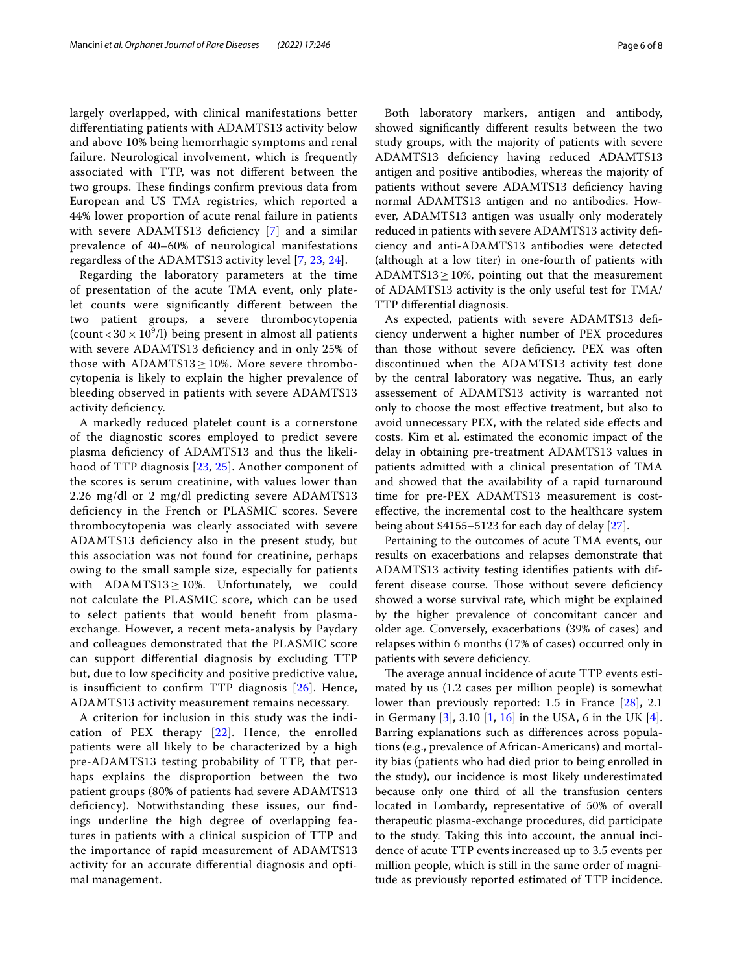largely overlapped, with clinical manifestations better diferentiating patients with ADAMTS13 activity below and above 10% being hemorrhagic symptoms and renal failure. Neurological involvement, which is frequently associated with TTP, was not diferent between the two groups. These findings confirm previous data from European and US TMA registries, which reported a 44% lower proportion of acute renal failure in patients with severe ADAMTS13 deficiency [\[7](#page-7-3)] and a similar prevalence of 40–60% of neurological manifestations regardless of the ADAMTS13 activity level [\[7](#page-7-3), [23](#page-7-13), [24](#page-7-14)].

Regarding the laboratory parameters at the time of presentation of the acute TMA event, only platelet counts were signifcantly diferent between the two patient groups, a severe thrombocytopenia (count <  $30 \times 10^9$ /l) being present in almost all patients with severe ADAMTS13 defciency and in only 25% of those with  $ADAMTS13 \geq 10\%$ . More severe thrombocytopenia is likely to explain the higher prevalence of bleeding observed in patients with severe ADAMTS13 activity deficiency.

A markedly reduced platelet count is a cornerstone of the diagnostic scores employed to predict severe plasma defciency of ADAMTS13 and thus the likelihood of TTP diagnosis [[23,](#page-7-13) [25](#page-7-15)]. Another component of the scores is serum creatinine, with values lower than 2.26 mg/dl or 2 mg/dl predicting severe ADAMTS13 defciency in the French or PLASMIC scores. Severe thrombocytopenia was clearly associated with severe ADAMTS13 defciency also in the present study, but this association was not found for creatinine, perhaps owing to the small sample size, especially for patients with  $ADAMTS13 \geq 10\%$ . Unfortunately, we could not calculate the PLASMIC score, which can be used to select patients that would beneft from plasmaexchange. However, a recent meta-analysis by Paydary and colleagues demonstrated that the PLASMIC score can support diferential diagnosis by excluding TTP but, due to low specifcity and positive predictive value, is insufficient to confirm TTP diagnosis  $[26]$  $[26]$  $[26]$ . Hence, ADAMTS13 activity measurement remains necessary.

A criterion for inclusion in this study was the indication of PEX therapy [[22\]](#page-7-12). Hence, the enrolled patients were all likely to be characterized by a high pre-ADAMTS13 testing probability of TTP, that perhaps explains the disproportion between the two patient groups (80% of patients had severe ADAMTS13 deficiency). Notwithstanding these issues, our findings underline the high degree of overlapping features in patients with a clinical suspicion of TTP and the importance of rapid measurement of ADAMTS13 activity for an accurate diferential diagnosis and optimal management.

Both laboratory markers, antigen and antibody, showed signifcantly diferent results between the two study groups, with the majority of patients with severe ADAMTS13 defciency having reduced ADAMTS13 antigen and positive antibodies, whereas the majority of patients without severe ADAMTS13 deficiency having normal ADAMTS13 antigen and no antibodies. However, ADAMTS13 antigen was usually only moderately reduced in patients with severe ADAMTS13 activity defciency and anti-ADAMTS13 antibodies were detected (although at a low titer) in one-fourth of patients with ADAMTS13 $\geq$ 10%, pointing out that the measurement of ADAMTS13 activity is the only useful test for TMA/ TTP diferential diagnosis.

As expected, patients with severe ADAMTS13 defciency underwent a higher number of PEX procedures than those without severe defciency. PEX was often discontinued when the ADAMTS13 activity test done by the central laboratory was negative. Thus, an early assessement of ADAMTS13 activity is warranted not only to choose the most efective treatment, but also to avoid unnecessary PEX, with the related side efects and costs. Kim et al. estimated the economic impact of the delay in obtaining pre-treatment ADAMTS13 values in patients admitted with a clinical presentation of TMA and showed that the availability of a rapid turnaround time for pre-PEX ADAMTS13 measurement is costefective, the incremental cost to the healthcare system being about \$4155–5123 for each day of delay [\[27](#page-7-17)].

Pertaining to the outcomes of acute TMA events, our results on exacerbations and relapses demonstrate that ADAMTS13 activity testing identifes patients with different disease course. Those without severe deficiency showed a worse survival rate, which might be explained by the higher prevalence of concomitant cancer and older age. Conversely, exacerbations (39% of cases) and relapses within 6 months (17% of cases) occurred only in patients with severe deficiency.

The average annual incidence of acute TTP events estimated by us (1.2 cases per million people) is somewhat lower than previously reported: 1.5 in France [[28\]](#page-7-18), 2.1 in Germany [[3\]](#page-7-19), 3.10 [\[1](#page-7-0), [16](#page-7-20)] in the USA, 6 in the UK [\[4](#page-7-2)]. Barring explanations such as diferences across populations (e.g., prevalence of African-Americans) and mortality bias (patients who had died prior to being enrolled in the study), our incidence is most likely underestimated because only one third of all the transfusion centers located in Lombardy, representative of 50% of overall therapeutic plasma-exchange procedures, did participate to the study. Taking this into account, the annual incidence of acute TTP events increased up to 3.5 events per million people, which is still in the same order of magnitude as previously reported estimated of TTP incidence.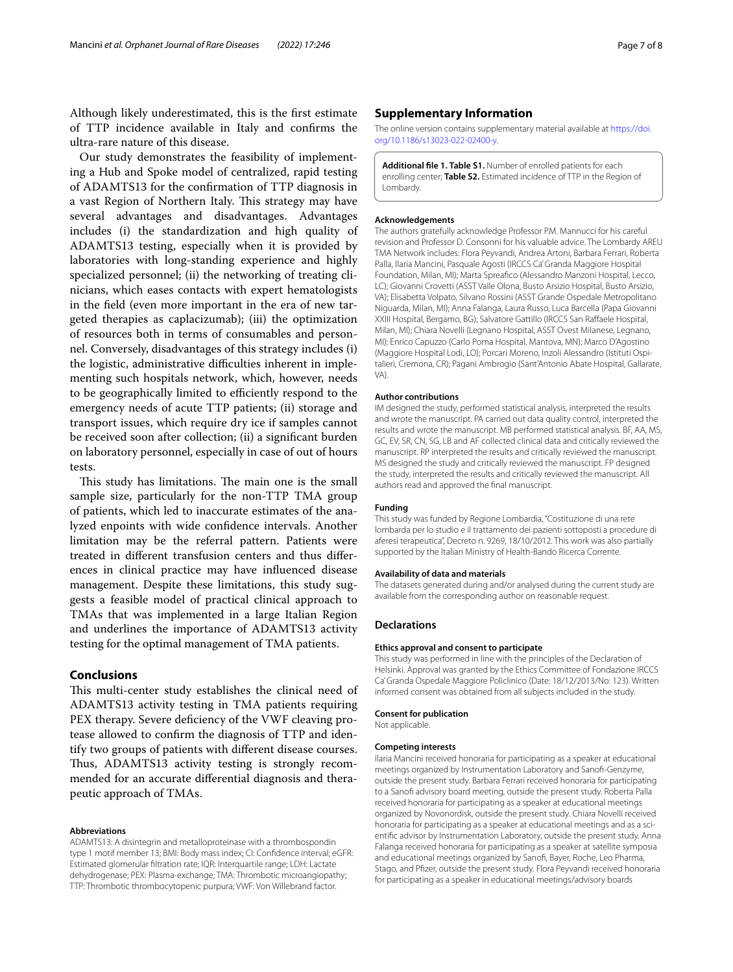Although likely underestimated, this is the frst estimate of TTP incidence available in Italy and confrms the ultra-rare nature of this disease.

Our study demonstrates the feasibility of implementing a Hub and Spoke model of centralized, rapid testing of ADAMTS13 for the confrmation of TTP diagnosis in a vast Region of Northern Italy. This strategy may have several advantages and disadvantages. Advantages includes (i) the standardization and high quality of ADAMTS13 testing, especially when it is provided by laboratories with long-standing experience and highly specialized personnel; (ii) the networking of treating clinicians, which eases contacts with expert hematologists in the feld (even more important in the era of new targeted therapies as caplacizumab); (iii) the optimization of resources both in terms of consumables and personnel. Conversely, disadvantages of this strategy includes (i) the logistic, administrative difficulties inherent in implementing such hospitals network, which, however, needs to be geographically limited to efficiently respond to the emergency needs of acute TTP patients; (ii) storage and transport issues, which require dry ice if samples cannot be received soon after collection; (ii) a signifcant burden on laboratory personnel, especially in case of out of hours tests.

This study has limitations. The main one is the small sample size, particularly for the non-TTP TMA group of patients, which led to inaccurate estimates of the analyzed enpoints with wide confdence intervals. Another limitation may be the referral pattern. Patients were treated in diferent transfusion centers and thus diferences in clinical practice may have infuenced disease management. Despite these limitations, this study suggests a feasible model of practical clinical approach to TMAs that was implemented in a large Italian Region and underlines the importance of ADAMTS13 activity testing for the optimal management of TMA patients.

#### **Conclusions**

This multi-center study establishes the clinical need of ADAMTS13 activity testing in TMA patients requiring PEX therapy. Severe defciency of the VWF cleaving protease allowed to confrm the diagnosis of TTP and identify two groups of patients with diferent disease courses. Thus, ADAMTS13 activity testing is strongly recommended for an accurate diferential diagnosis and therapeutic approach of TMAs.

#### **Abbreviations**

ADAMTS13: A disintegrin and metalloproteinase with a thrombospondin type 1 motif member 13; BMI: Body mass index; CI: Confdence interval; eGFR: Estimated glomerular fltration rate; IQR: Interquartile range; LDH: Lactate dehydrogenase; PEX: Plasma-exchange; TMA: Thrombotic microangiopathy; TTP: Thrombotic thrombocytopenic purpura; VWF: Von Willebrand factor.

#### **Supplementary Information**

The online version contains supplementary material available at [https://doi.](https://doi.org/10.1186/s13023-022-02400-y) [org/10.1186/s13023-022-02400-y.](https://doi.org/10.1186/s13023-022-02400-y)

<span id="page-6-0"></span>**Additional fle 1. Table S1.** Number of enrolled patients for each enrolling center; **Table S2.** Estimated incidence of TTP in the Region of Lombardy.

#### **Acknowledgements**

The authors gratefully acknowledge Professor P.M. Mannucci for his careful revision and Professor D. Consonni for his valuable advice. The Lombardy AREU TMA Network includes: Flora Peyvandi, Andrea Artoni, Barbara Ferrari, Roberta Palla, Ilaria Mancini, Pasquale Agosti (IRCCS Ca' Granda Maggiore Hospital Foundation, Milan, MI); Marta Spreafco (Alessandro Manzoni Hospital, Lecco, LC); Giovanni Crovetti (ASST Valle Olona, Busto Arsizio Hospital, Busto Arsizio, VA); Elisabetta Volpato, Silvano Rossini (ASST Grande Ospedale Metropolitano Niguarda, Milan, MI); Anna Falanga, Laura Russo, Luca Barcella (Papa Giovanni XXIII Hospital, Bergamo, BG); Salvatore Gattillo (IRCCS San Raffaele Hospital, Milan, MI); Chiara Novelli (Legnano Hospital, ASST Ovest Milanese, Legnano, MI); Enrico Capuzzo (Carlo Poma Hospital, Mantova, MN); Marco D'Agostino (Maggiore Hospital Lodi, LO); Porcari Moreno, Inzoli Alessandro (Istituti Ospitalieri, Cremona, CR); Pagani Ambrogio (Sant'Antonio Abate Hospital, Gallarate, VA)

#### **Author contributions**

IM designed the study, performed statistical analysis, interpreted the results and wrote the manuscript. PA carried out data quality control, interpreted the results and wrote the manuscript. MB performed statistical analysis. BF, AA, MS, GC, EV, SR, CN, SG, LB and AF collected clinical data and critically reviewed the manuscript. RP interpreted the results and critically reviewed the manuscript. MS designed the study and critically reviewed the manuscript. FP designed the study, interpreted the results and critically reviewed the manuscript. All authors read and approved the fnal manuscript.

#### **Funding**

This study was funded by Regione Lombardia, "Costituzione di una rete lombarda per lo studio e il trattamento dei pazienti sottoposti a procedure di aferesi terapeutica", Decreto n. 9269, 18/10/2012. This work was also partially supported by the Italian Ministry of Health-Bando Ricerca Corrente.

#### **Availability of data and materials**

The datasets generated during and/or analysed during the current study are available from the corresponding author on reasonable request.

#### **Declarations**

#### **Ethics approval and consent to participate**

This study was performed in line with the principles of the Declaration of Helsinki. Approval was granted by the Ethics Committee of Fondazione IRCCS Ca' Granda Ospedale Maggiore Policlinico (Date: 18/12/2013/No: 123). Written informed consent was obtained from all subjects included in the study.

#### **Consent for publication**

Not applicable.

#### **Competing interests**

Ilaria Mancini received honoraria for participating as a speaker at educational meetings organized by Instrumentation Laboratory and Sanof-Genzyme, outside the present study. Barbara Ferrari received honoraria for participating to a Sanofi advisory board meeting, outside the present study. Roberta Palla received honoraria for participating as a speaker at educational meetings organized by Novonordisk, outside the present study. Chiara Novelli received honoraria for participating as a speaker at educational meetings and as a scientifc advisor by Instrumentation Laboratory, outside the present study. Anna Falanga received honoraria for participating as a speaker at satellite symposia and educational meetings organized by Sanof, Bayer, Roche, Leo Pharma, Stago, and Pfzer, outside the present study. Flora Peyvandi received honoraria for participating as a speaker in educational meetings/advisory boards